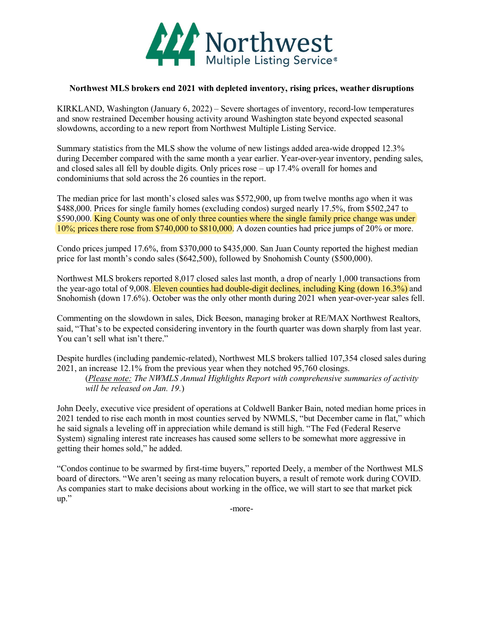

## **Northwest MLS brokers end 2021 with depleted inventory, rising prices, weather disruptions**

KIRKLAND, Washington (January 6, 2022) – Severe shortages of inventory, record-low temperatures and snow restrained December housing activity around Washington state beyond expected seasonal slowdowns, according to a new report from Northwest Multiple Listing Service.

Summary statistics from the MLS show the volume of new listings added area-wide dropped 12.3% during December compared with the same month a year earlier. Year-over-year inventory, pending sales, and closed sales all fell by double digits. Only prices rose – up 17.4% overall for homes and condominiums that sold across the 26 counties in the report.

The median price for last month's closed sales was \$572,900, up from twelve months ago when it was \$488,000. Prices for single family homes (excluding condos) surged nearly 17.5%, from \$502,247 to \$590,000. King County was one of only three counties where the single family price change was under 10%; prices there rose from \$740,000 to \$810,000. A dozen counties had price jumps of 20% or more.

Condo prices jumped 17.6%, from \$370,000 to \$435,000. San Juan County reported the highest median price for last month's condo sales (\$642,500), followed by Snohomish County (\$500,000).

Northwest MLS brokers reported 8,017 closed sales last month, a drop of nearly 1,000 transactions from the year-ago total of 9,008. Eleven counties had double-digit declines, including King (down 16.3%) and Snohomish (down 17.6%). October was the only other month during 2021 when year-over-year sales fell.

Commenting on the slowdown in sales, Dick Beeson, managing broker at RE/MAX Northwest Realtors, said, "That's to be expected considering inventory in the fourth quarter was down sharply from last year. You can't sell what isn't there."

Despite hurdles (including pandemic-related), Northwest MLS brokers tallied 107,354 closed sales during 2021, an increase 12.1% from the previous year when they notched 95,760 closings.

(*Please note: The NWMLS Annual Highlights Report with comprehensive summaries of activity will be released on Jan. 19.*)

John Deely, executive vice president of operations at Coldwell Banker Bain, noted median home prices in 2021 tended to rise each month in most counties served by NWMLS, "but December came in flat," which he said signals a leveling off in appreciation while demand is still high. "The Fed (Federal Reserve System) signaling interest rate increases has caused some sellers to be somewhat more aggressive in getting their homes sold," he added.

"Condos continue to be swarmed by first-time buyers," reported Deely, a member of the Northwest MLS board of directors. "We aren't seeing as many relocation buyers, a result of remote work during COVID. As companies start to make decisions about working in the office, we will start to see that market pick up."

-more-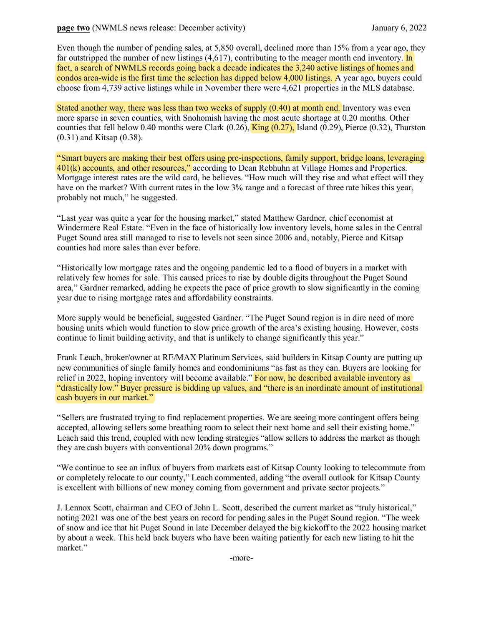Even though the number of pending sales, at 5,850 overall, declined more than 15% from a year ago, they far outstripped the number of new listings  $(4.617)$ , contributing to the meager month end inventory. In fact, a search of NWMLS records going back a decade indicates the 3,240 active listings of homes and condos area-wide is the first time the selection has dipped below 4,000 listings. A year ago, buyers could choose from 4,739 active listings while in November there were 4,621 properties in the MLS database.

Stated another way, there was less than two weeks of supply (0.40) at month end. Inventory was even more sparse in seven counties, with Snohomish having the most acute shortage at 0.20 months. Other counties that fell below 0.40 months were Clark  $(0.26)$ ,  $\overline{\text{King } (0.27)}$ , Island  $(0.29)$ , Pierce  $(0.32)$ , Thurston (0.31) and Kitsap (0.38).

"Smart buyers are making their best offers using pre-inspections, family support, bridge loans, leveraging 401(k) accounts, and other resources," according to Dean Rebhuhn at Village Homes and Properties. Mortgage interest rates are the wild card, he believes. "How much will they rise and what effect will they have on the market? With current rates in the low 3% range and a forecast of three rate hikes this year, probably not much," he suggested.

"Last year was quite a year for the housing market," stated Matthew Gardner, chief economist at Windermere Real Estate. "Even in the face of historically low inventory levels, home sales in the Central Puget Sound area still managed to rise to levels not seen since 2006 and, notably, Pierce and Kitsap counties had more sales than ever before.

"Historically low mortgage rates and the ongoing pandemic led to a flood of buyers in a market with relatively few homes for sale. This caused prices to rise by double digits throughout the Puget Sound area," Gardner remarked, adding he expects the pace of price growth to slow significantly in the coming year due to rising mortgage rates and affordability constraints.

More supply would be beneficial, suggested Gardner. "The Puget Sound region is in dire need of more housing units which would function to slow price growth of the area's existing housing. However, costs continue to limit building activity, and that is unlikely to change significantly this year."

Frank Leach, broker/owner at RE/MAX Platinum Services, said builders in Kitsap County are putting up new communities of single family homes and condominiums "as fast as they can. Buyers are looking for relief in 2022, hoping inventory will become available." For now, he described available inventory as "drastically low." Buyer pressure is bidding up values, and "there is an inordinate amount of institutional cash buyers in our market."

"Sellers are frustrated trying to find replacement properties. We are seeing more contingent offers being accepted, allowing sellers some breathing room to select their next home and sell their existing home." Leach said this trend, coupled with new lending strategies "allow sellers to address the market as though they are cash buyers with conventional 20% down programs."

"We continue to see an influx of buyers from markets east of Kitsap County looking to telecommute from or completely relocate to our county," Leach commented, adding "the overall outlook for Kitsap County is excellent with billions of new money coming from government and private sector projects."

J. Lennox Scott, chairman and CEO of John L. Scott, described the current market as "truly historical," noting 2021 was one of the best years on record for pending sales in the Puget Sound region. "The week of snow and ice that hit Puget Sound in late December delayed the big kickoff to the 2022 housing market by about a week. This held back buyers who have been waiting patiently for each new listing to hit the market."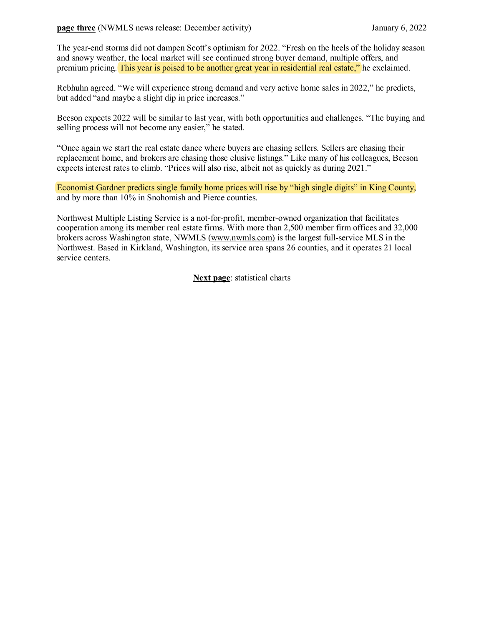The year-end storms did not dampen Scott's optimism for 2022. "Fresh on the heels of the holiday season and snowy weather, the local market will see continued strong buyer demand, multiple offers, and premium pricing. This year is poised to be another great year in residential real estate," he exclaimed.

Rebhuhn agreed. "We will experience strong demand and very active home sales in 2022," he predicts, but added "and maybe a slight dip in price increases."

Beeson expects 2022 will be similar to last year, with both opportunities and challenges. "The buying and selling process will not become any easier," he stated.

"Once again we start the real estate dance where buyers are chasing sellers. Sellers are chasing their replacement home, and brokers are chasing those elusive listings." Like many of his colleagues, Beeson expects interest rates to climb. "Prices will also rise, albeit not as quickly as during 2021."

Economist Gardner predicts single family home prices will rise by "high single digits" in King County, and by more than 10% in Snohomish and Pierce counties.

Northwest Multiple Listing Service is a not-for-profit, member-owned organization that facilitates cooperation among its member real estate firms. With more than 2,500 member firm offices and 32,000 brokers across Washington state, NWMLS [\(www.nwmls.com\)](http://www.nwmls.com/) is the largest full-service MLS in the Northwest. Based in Kirkland, Washington, its service area spans 26 counties, and it operates 21 local service centers.

**Next page**: statistical charts